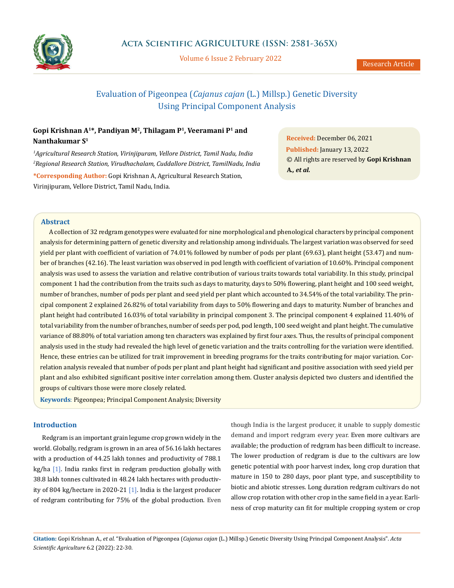

Volume 6 Issue 2 February 2022

# Evaluation of Pigeonpea (*Cajanus cajan* (L.) Millsp.) Genetic Diversity Using Principal Component Analysis

## **Gopi Krishnan A1\*, Pandiyan M2, Thilagam P1, Veeramani P1 and Nanthakumar S1**

*1 Agricultural Research Station, Virinjipuram, Vellore District, Tamil Nadu, India 2 Regional Research Station, Virudhachalam, Cuddallore District, TamilNadu, India* **\*Corresponding Author:** Gopi Krishnan A, Agricultural Research Station, Virinjipuram, Vellore District, Tamil Nadu, India.

**Received:** December 06, 2021 **Published:** January 13, 2022 © All rights are reserved by **Gopi Krishnan A***., et al.*

#### **Abstract**

A collection of 32 redgram genotypes were evaluated for nine morphological and phenological characters by principal component analysis for determining pattern of genetic diversity and relationship among individuals. The largest variation was observed for seed yield per plant with coefficient of variation of 74.01% followed by number of pods per plant (69.63), plant height (53.47) and number of branches (42.16). The least variation was observed in pod length with coefficient of variation of 10.60%. Principal component analysis was used to assess the variation and relative contribution of various traits towards total variability. In this study, principal component 1 had the contribution from the traits such as days to maturity, days to 50% flowering, plant height and 100 seed weight, number of branches, number of pods per plant and seed yield per plant which accounted to 34.54% of the total variability. The principal component 2 explained 26.82% of total variability from days to 50% flowering and days to maturity. Number of branches and plant height had contributed 16.03% of total variability in principal component 3. The principal component 4 explained 11.40% of total variability from the number of branches, number of seeds per pod, pod length, 100 seed weight and plant height. The cumulative variance of 88.80% of total variation among ten characters was explained by first four axes. Thus, the results of principal component analysis used in the study had revealed the high level of genetic variation and the traits controlling for the variation were identified. Hence, these entries can be utilized for trait improvement in breeding programs for the traits contributing for major variation. Correlation analysis revealed that number of pods per plant and plant height had significant and positive association with seed yield per plant and also exhibited significant positive inter correlation among them. Cluster analysis depicted two clusters and identified the groups of cultivars those were more closely related.

**Keywords**: Pigeonpea; Principal Component Analysis; Diversity

#### **Introduction**

Redgram is an important grain legume crop grown widely in the world. Globally, redgram is grown in an area of 56.16 lakh hectares with a production of 44.25 lakh tonnes and productivity of 788.1  $kg/ha$  [1]. India ranks first in redgram production globally with 38.8 lakh tonnes cultivated in 48.24 lakh hectares with productivity of 804 kg/hectare in 2020-21 [1]. India is the largest producer of redgram contributing for 75% of the global production. Even

though India is the largest producer, it unable to supply domestic demand and import redgram every year. Even more cultivars are available; the production of redgram has been difficult to increase. The lower production of redgram is due to the cultivars are low genetic potential with poor harvest index, long crop duration that mature in 150 to 280 days, poor plant type, and susceptibility to biotic and abiotic stresses. Long duration redgram cultivars do not allow crop rotation with other crop in the same field in a year. Earliness of crop maturity can fit for multiple cropping system or crop

**Citation:** Gopi Krishnan A*., et al.* "Evaluation of Pigeonpea (*Cajanus cajan* (L.) Millsp.) Genetic Diversity Using Principal Component Analysis". *Acta Scientific Agriculture* 6.2 (2022): 22-30.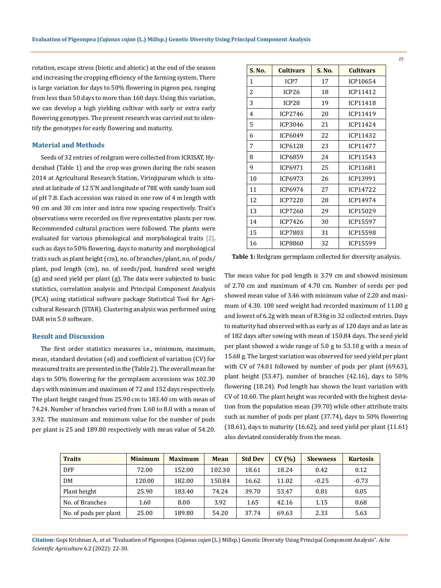rotation, escape stress (biotic and abiotic) at the end of the season and increasing the cropping efficiency of the farming system. There is large variation for days to 50% flowering in pigeon pea, ranging from less than 50 days to more than 160 days. Using this variation, we can develop a high yielding cultivar with early or extra early flowering genotypes. The present research was carried out to identify the genotypes for early flowering and maturity.

#### **Material and Methods**

Seeds of 32 entries of redgram were collected from ICRISAT, Hyderabad (Table 1) and the crop was grown during the rabi season 2014 at Agricultural Research Station, Virinjipuram which is situated at latitude of 12 5'N and longitude of 78E with sandy loam soil of pH 7.8. Each accession was raised in one row of 4 m length with 90 cm and 30 cm inter and intra row spacing respectively. Trait's observations were recorded on five representative plants per row. Recommended cultural practices were followed. The plants were evaluated for various phenological and morphological traits [2]. such as days to 50% flowering, days to maturity and morphological traits such as plant height (cm), no. of branches/plant, no. of pods/ plant, pod length (cm), no. of seeds/pod, hundred seed weight (g) and seed yield per plant (g). The data were subjected to basic statistics, correlation analysis and Principal Component Analysis (PCA) using statistical software package Statistical Tool for Agricultural Research (STAR). Clustering analysis was performed using DAR win 5.0 software.

#### **Result and Discussion**

The first order statistics measures i.e., minimum, maximum, mean, standard deviation (sd) and coefficient of variation (CV) for measured traits are presented in the (Table 2). The overall mean for days to 50% flowering for the germplasm accessions was 102.30 days with minimum and maximum of 72 and 152 days respectively. The plant height ranged from 25.90 cm to 183.40 cm with mean of 74.24. Number of branches varied from 1.60 to 8.0 with a mean of 3.92. The maximum and minimum value for the number of pods per plant is 25 and 189.80 respectively with mean value of 54.20.

| S. No. | <b>Cultivars</b>     | S. No. | <b>Cultivars</b> |  |  |
|--------|----------------------|--------|------------------|--|--|
| 1      | ICP7                 | 17     | ICP10654         |  |  |
| 2      | ICP26                | 18     | ICP11412         |  |  |
| 3      | ICP28                | 19     | ICP11418         |  |  |
| 4      | ICP2746              | 20     | ICP11419         |  |  |
| 5      | <b>ICP3046</b>       | 21     | <b>ICP11424</b>  |  |  |
| 6      | ICP6049              | 22     | ICP11432         |  |  |
| 7      | 23<br>ICP6128        |        | <b>ICP11477</b>  |  |  |
| 8      | ICP6859              | 24     | ICP11543         |  |  |
| 9      | ICP6971              | 25     | ICP11681         |  |  |
| 10     | ICP6973              | 26     | ICP13991         |  |  |
| 11     | ICP6974              | 27     | ICP14722         |  |  |
| 12     | <b>ICP7220</b><br>28 |        | ICP14974         |  |  |
| 13     | <b>ICP7260</b>       | 29     | ICP15029         |  |  |
| 14     | ICP7426              | 30     | <b>ICP15597</b>  |  |  |
| 15     | ICP7803              | 31     | <b>ICP15598</b>  |  |  |
| 16     | <b>ICP8860</b>       | 32     | ICP15599         |  |  |

**Table 1:** Redgram germplasm collected for diversity analysis.

The mean value for pod length is 3.79 cm and showed minimum of 2.70 cm and maximum of 4.70 cm. Number of seeds per pod showed mean value of 3.46 with minimum value of 2.20 and maximum of 4.30. 100 seed weight had recorded maximum of 11.00 g and lowest of 6.2g with mean of 8.36g in 32 collected entries. Days to maturity had observed with as early as of 120 days and as late as of 182 days after sowing with mean of 150.84 days. The seed yield per plant showed a wide range of 5.0 g to 53.10 g with a mean of 15.68 g. The largest variation was observed for seed yield per plant with CV of 74.01 followed by number of pods per plant (69.63), plant height (53.47), number of branches (42.16), days to 50% flowering (18.24). Pod length has shown the least variation with CV of 10.60. The plant height was recorded with the highest deviation from the population mean (39.70) while other attribute traits such as number of pods per plant (37.74), days to 50% flowering (18.61), days to maturity (16.62), and seed yield per plant (11.61) also deviated considerably from the mean.

| <b>Traits</b>         | <b>Minimum</b> | <b>Maximum</b> | <b>Mean</b> | <b>Std Dev</b> | CV(%) | <b>Skewness</b> | <b>Kurtosis</b> |
|-----------------------|----------------|----------------|-------------|----------------|-------|-----------------|-----------------|
| DFF                   | 72.00          | 152.00         | 102.30      | 18.61          | 18.24 | 0.42            | 0.12            |
| DM                    | 120.00         | 182.00         | 150.84      | 16.62          | 11.02 | $-0.25$         | $-0.73$         |
| Plant height          | 25.90          | 183.40         | 74.24       | 39.70          | 53.47 | 0.81            | 0.05            |
| No. of Branches       | 1.60           | 8.00           | 3.92        | 1.65           | 42.16 | 1.15            | 0.68            |
| No. of pods per plant | 25.00          | 189.80         | 54.20       | 37.74          | 69.63 | 2.33            | 5.63            |

**Citation:** Gopi Krishnan A*., et al.* "Evaluation of Pigeonpea (*Cajanus cajan* (L.) Millsp.) Genetic Diversity Using Principal Component Analysis". *Acta Scientific Agriculture* 6.2 (2022): 22-30.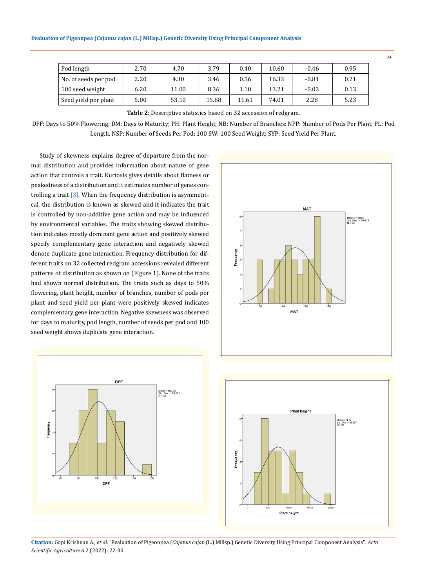| Pod length           | 2.70 | 4.70  | 3.79  | 0.40  | 10.60 | $-0.46$ | 0.95 |
|----------------------|------|-------|-------|-------|-------|---------|------|
| No. of seeds per pod | 2.20 | 4.30  | 3.46  | 0.56  | 16.33 | $-0.81$ | 0.21 |
| 100 seed weight      | 6.20 | 11.00 | 8.36  | 1.10  | 13.21 | $-0.03$ | 0.13 |
| Seed yield per plant | 5.00 | 53.10 | 15.68 | 11.61 | 74.01 | 2.28    | 5.23 |

**Table 2:** Descriptive statistics based on 32 accession of redgram.

DFF: Days to 50% Flowering; DM: Days to Maturity; PH: Plant Height; NB: Number of Branches; NPP: Number of Pods Per Plant; PL: Pod Length, NSP: Number of Seeds Per Pod; 100 SW: 100 Seed Weight; SYP: Seed Yield Per Plant.

Study of skewness explains degree of departure from the normal distribution and provides information about nature of gene action that controls a trait. Kurtosis gives details about flatness or peakedness of a distribution and it estimates number of genes controlling a trait  $[3]$ . When the frequency distribution is asymmetrical, the distribution is known as skewed and it indicates the trait is controlled by non-additive gene action and may be influenced by environmental variables. The traits showing skewed distribution indicates mostly dominant gene action and positively skewed specify complementary gene interaction and negatively skewed denote duplicate gene interaction. Frequency distribution for different traits on 32 collected redgram accessions revealed different patterns of distribution as shown on (Figure 1). None of the traits had shown normal distribution. The traits such as days to 50% flowering, plant height, number of branches, number of pods per plant and seed yield per plant were positively skewed indicates complementary gene interaction. Negative skewness was observed for days to maturity, pod length, number of seeds per pod and 100 seed weight shows duplicate gene interaction.







**Citation:** Gopi Krishnan A*., et al.* "Evaluation of Pigeonpea (*Cajanus cajan* (L.) Millsp.) Genetic Diversity Using Principal Component Analysis". *Acta Scientific Agriculture* 6.2 (2022): 22-30.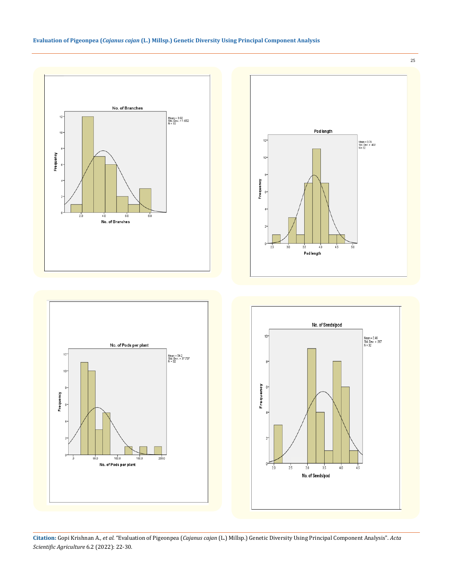

 $100.0$ 

No. of Pods per plant

 $1500$ 

 $500$ 

 $\frac{1}{2000}$ 



**Citation:** Gopi Krishnan A*., et al.* "Evaluation of Pigeonpea (*Cajanus cajan* (L.) Millsp.) Genetic Diversity Using Principal Component Analysis". *Acta Scientific Agriculture* 6.2 (2022): 22-30.

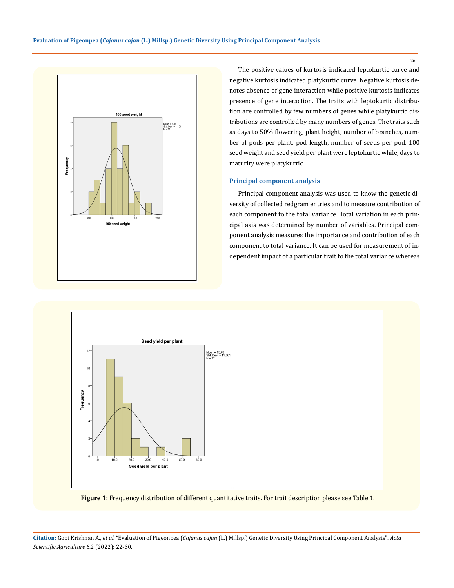

The positive values of kurtosis indicated leptokurtic curve and negative kurtosis indicated platykurtic curve. Negative kurtosis denotes absence of gene interaction while positive kurtosis indicates presence of gene interaction. The traits with leptokurtic distribution are controlled by few numbers of genes while platykurtic distributions are controlled by many numbers of genes. The traits such as days to 50% flowering, plant height, number of branches, number of pods per plant, pod length, number of seeds per pod, 100 seed weight and seed yield per plant were leptokurtic while, days to maturity were platykurtic.

#### **Principal component analysis**

Principal component analysis was used to know the genetic diversity of collected redgram entries and to measure contribution of each component to the total variance. Total variation in each principal axis was determined by number of variables. Principal component analysis measures the importance and contribution of each component to total variance. It can be used for measurement of independent impact of a particular trait to the total variance whereas



**Figure 1:** Frequency distribution of different quantitative traits. For trait description please see Table 1.

**Citation:** Gopi Krishnan A*., et al.* "Evaluation of Pigeonpea (*Cajanus cajan* (L.) Millsp.) Genetic Diversity Using Principal Component Analysis". *Acta Scientific Agriculture* 6.2 (2022): 22-30.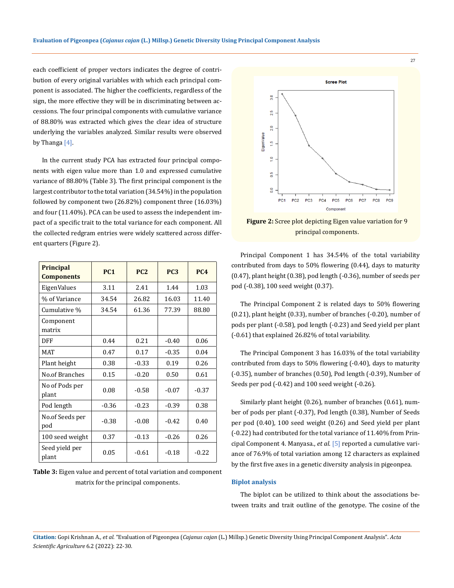each coefficient of proper vectors indicates the degree of contribution of every original variables with which each principal component is associated. The higher the coefficients, regardless of the sign, the more effective they will be in discriminating between accessions. The four principal components with cumulative variance of 88.80% was extracted which gives the clear idea of structure underlying the variables analyzed. Similar results were observed by Thanga<sup>[4]</sup>.

In the current study PCA has extracted four principal components with eigen value more than 1.0 and expressed cumulative variance of 88.80% (Table 3). The first principal component is the largest contributor to the total variation (34.54%) in the population followed by component two (26.82%) component three (16.03%) and four (11.40%). PCA can be used to assess the independent impact of a specific trait to the total variance for each component. All the collected redgram entries were widely scattered across different quarters (Figure 2).

| Principal<br><b>Components</b> | <b>PC1</b> | <b>PC2</b> | <b>PC3</b> | <b>PC4</b> |
|--------------------------------|------------|------------|------------|------------|
| EigenValues                    | 3.11       | 2.41       | 1.44       | 1.03       |
| % of Variance                  | 34.54      | 26.82      | 16.03      | 11.40      |
| Cumulative %                   | 34.54      | 61.36      | 77.39      | 88.80      |
| Component<br>matrix            |            |            |            |            |
| DFF                            | 0.44       | 0.21       | $-0.40$    | 0.06       |
| <b>MAT</b>                     | 0.47       | 0.17       | $-0.35$    | 0.04       |
| Plant height                   | 0.38       | $-0.33$    | 0.19       | 0.26       |
| No.of Branches                 | 0.15       | $-0.20$    | 0.50       | 0.61       |
| No of Pods per<br>plant        | 0.08       | $-0.58$    | $-0.07$    | $-0.37$    |
| Pod length                     | $-0.36$    | $-0.23$    | $-0.39$    | 0.38       |
| No.of Seeds per<br>pod         | $-0.38$    | $-0.08$    | $-0.42$    | 0.40       |
| 100 seed weight                | 0.37       | $-0.13$    | $-0.26$    | 0.26       |
| Seed yield per<br>plant        | 0.05       | $-0.61$    | $-0.18$    | $-0.22$    |

| <b>Table 3:</b> Eigen value and percent of total variation and component |
|--------------------------------------------------------------------------|
| matrix for the principal components.                                     |



**Figure 2:** Scree plot depicting Eigen value variation for 9 principal components.

Principal Component 1 has 34.54% of the total variability contributed from days to 50% flowering (0.44), days to maturity (0.47), plant height (0.38), pod length (-0.36), number of seeds per pod (-0.38), 100 seed weight (0.37).

The Principal Component 2 is related days to 50% flowering (0.21), plant height (0.33), number of branches (-0.20), number of pods per plant (-0.58), pod length (-0.23) and Seed yield per plant (-0.61) that explained 26.82% of total variability.

The Principal Component 3 has 16.03% of the total variability contributed from days to 50% flowering (-0.40), days to maturity (-0.35), number of branches (0.50), Pod length (-0.39), Number of Seeds per pod (-0.42) and 100 seed weight (-0.26).

Similarly plant height (0.26), number of branches (0.61), number of pods per plant (-0.37), Pod length (0.38), Number of Seeds per pod (0.40), 100 seed weight (0.26) and Seed yield per plant (-0.22) had contributed for the total variance of 11.40% from Principal Component 4. Manyasa., *et al*. [5] reported a cumulative variance of 76.9% of total variation among 12 characters as explained by the first five axes in a genetic diversity analysis in pigeonpea.

#### **Biplot analysis**

The biplot can be utilized to think about the associations between traits and trait outline of the genotype. The cosine of the

**Citation:** Gopi Krishnan A*., et al.* "Evaluation of Pigeonpea (*Cajanus cajan* (L.) Millsp.) Genetic Diversity Using Principal Component Analysis". *Acta Scientific Agriculture* 6.2 (2022): 22-30.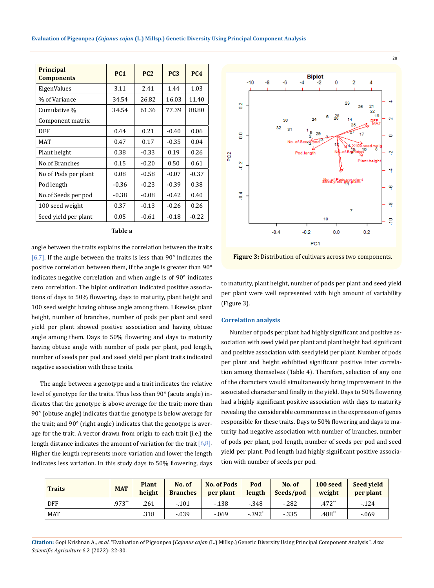|  | Evaluation of Pigeonpea (Cajanus cajan (L.) Millsp.) Genetic Diversity Using Principal Component Analysis |  |  |  |  |  |
|--|-----------------------------------------------------------------------------------------------------------|--|--|--|--|--|
|--|-----------------------------------------------------------------------------------------------------------|--|--|--|--|--|

| <b>Principal</b><br><b>Components</b> | <b>PC1</b> | <b>PC2</b> | <b>PC3</b> | <b>PC4</b> |
|---------------------------------------|------------|------------|------------|------------|
| EigenValues                           | 3.11       | 2.41       | 1.44       | 1.03       |
| % of Variance                         | 34.54      | 26.82      | 16.03      | 11.40      |
| Cumulative %                          | 34.54      | 61.36      | 77.39      | 88.80      |
| Component matrix                      |            |            |            |            |
| DFF                                   | 0.44       | 0.21       | $-0.40$    | 0.06       |
| MAT                                   | 0.47       | 0.17       | $-0.35$    | 0.04       |
| Plant height                          | 0.38       | $-0.33$    | 0.19       | 0.26       |
| No.of Branches                        | 0.15       | $-0.20$    | 0.50       | 0.61       |
| No of Pods per plant                  | 0.08       | $-0.58$    | $-0.07$    | $-0.37$    |
| Pod length                            | $-0.36$    | $-0.23$    | $-0.39$    | 0.38       |
| No.of Seeds per pod                   | $-0.38$    | $-0.08$    | $-0.42$    | 0.40       |
| 100 seed weight                       | 0.37       | $-0.13$    | $-0.26$    | 0.26       |
| Seed yield per plant                  | 0.05       | $-0.61$    | $-0.18$    | $-0.22$    |

#### **Table a**

angle between the traits explains the correlation between the traits [6,7]. If the angle between the traits is less than  $90^\circ$  indicates the positive correlation between them, if the angle is greater than 90° indicates negative correlation and when angle is of 90° indicates zero correlation. The biplot ordination indicated positive associations of days to 50% flowering, days to maturity, plant height and 100 seed weight having obtuse angle among them. Likewise, plant height, number of branches, number of pods per plant and seed yield per plant showed positive association and having obtuse angle among them. Days to 50% flowering and days to maturity having obtuse angle with number of pods per plant, pod length, number of seeds per pod and seed yield per plant traits indicated negative association with these traits.

The angle between a genotype and a trait indicates the relative level of genotype for the traits. Thus less than 90° (acute angle) indicates that the genotype is above average for the trait; more than 90° (obtuse angle) indicates that the genotype is below average for the trait; and 90° (right angle) indicates that the genotype is average for the trait. A vector drawn from origin to each trait (i.e.) the length distance indicates the amount of variation for the trait  $[6,8]$ . Higher the length represents more variation and lower the length indicates less variation. In this study days to 50% flowering, days



28

**Figure 3:** Distribution of cultivars across two components.

to maturity, plant height, number of pods per plant and seed yield per plant were well represented with high amount of variability (Figure 3).

#### **Correlation analysis**

Number of pods per plant had highly significant and positive association with seed yield per plant and plant height had significant and positive association with seed yield per plant. Number of pods per plant and height exhibited significant positive inter correlation among themselves (Table 4). Therefore, selection of any one of the characters would simultaneously bring improvement in the associated character and finally in the yield. Days to 50% flowering had a highly significant positive association with days to maturity revealing the considerable commonness in the expression of genes responsible for these traits. Days to 50% flowering and days to maturity had negative association with number of branches, number of pods per plant, pod length, number of seeds per pod and seed yield per plant. Pod length had highly significant positive association with number of seeds per pod.

| <b>Traits</b> | <b>MAT</b> | <b>Plant</b><br>height | No. of<br><b>Branches</b> | <b>No. of Pods</b><br>per plant | Pod<br>length        | No. of<br>Seeds/pod | 100 seed<br>weight | <b>Seed vield</b><br>per plant |
|---------------|------------|------------------------|---------------------------|---------------------------------|----------------------|---------------------|--------------------|--------------------------------|
| DFF           | $.973**$   | .261                   | $-.101$                   | $-138$                          | $-348$               | $-282$              | $.472$ **          | $-124$                         |
| <b>MAT</b>    |            | .318                   | $-0.039$                  | $-0.69$                         | $-.392$ <sup>*</sup> | $-335$              | .488**             | $-.069$                        |

**Citation:** Gopi Krishnan A*., et al.* "Evaluation of Pigeonpea (*Cajanus cajan* (L.) Millsp.) Genetic Diversity Using Principal Component Analysis". *Acta Scientific Agriculture* 6.2 (2022): 22-30.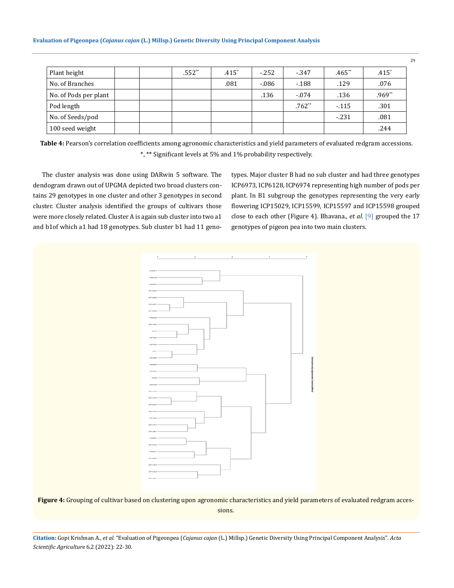| Plant height          |  | $.552**$ | $.415*$ | $-252$   | $-347$   | $.465**$ | $.415*$  |
|-----------------------|--|----------|---------|----------|----------|----------|----------|
| No. of Branches       |  |          | .081    | $-0.086$ | $-188$   | .129     | .076     |
| No. of Pods per plant |  |          |         | .136     | $-.074$  | .136     | $.969**$ |
| Pod length            |  |          |         |          | $.762**$ | $-115$   | .301     |
| No. of Seeds/pod      |  |          |         |          |          | $-231$   | .081     |
| 100 seed weight       |  |          |         |          |          |          | .244     |

**Table 4:** Pearson's correlation coefficients among agronomic characteristics and yield parameters of evaluated redgram accessions. \*, \*\* Significant levels at 5% and 1% probability respectively.

The cluster analysis was done using DARwin 5 software. The dendogram drawn out of UPGMA depicted two broad clusters contains 29 genotypes in one cluster and other 3 genotypes in second cluster. Cluster analysis identified the groups of cultivars those were more closely related. Cluster A is again sub cluster into two a1 and b1of which a1 had 18 genotypes. Sub cluster b1 had 11 genotypes. Major cluster B had no sub cluster and had three genotypes ICP6973, ICP6128, ICP6974 representing high number of pods per plant. In B1 subgroup the genotypes representing the very early flowering ICP15029, ICP15599, ICP15597 and ICP15598 grouped close to each other (Figure 4). Bhavana., *et al*. [9] grouped the 17 genotypes of pigeon pea into two main clusters.



Figure 4: Grouping of cultivar based on clustering upon agronomic characteristics and yield parameters of evaluated redgram accessions.

**Citation:** Gopi Krishnan A*., et al.* "Evaluation of Pigeonpea (*Cajanus cajan* (L.) Millsp.) Genetic Diversity Using Principal Component Analysis". *Acta Scientific Agriculture* 6.2 (2022): 22-30.